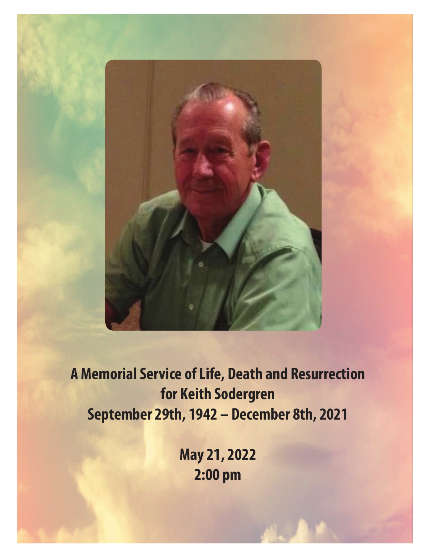

**A Memorial Service of Life, Death and Resurrection for Keith Sodergren September 29th, 1942 – December 8th, 2021**

> **May 21, 2022 2:00 pm**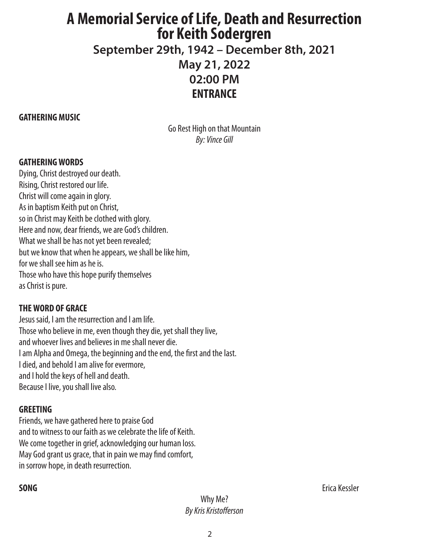# **A Memorial Service of Life, Death and Resurrection for Keith Sodergren**

**September 29th, 1942 – December 8th, 2021 May 21, 2022 02:00 PM ENTRANCE**

# **GATHERING MUSIC**

Go Rest High on that Mountain *By: Vince Gill*

# **GATHERING WORDS**

Dying, Christ destroyed our death. Rising, Christ restored our life. Christ will come again in glory. As in baptism Keith put on Christ, so in Christ may Keith be clothed with glory. Here and now, dear friends, we are God's children. What we shall be has not yet been revealed; but we know that when he appears, we shall be like him, for we shall see him as he is. Those who have this hope purify themselves as Christ is pure.

# **THE WORD OF GRACE**

Jesus said, I am the resurrection and I am life. Those who believe in me, even though they die, yet shall they live, and whoever lives and believes in me shall never die. I am Alpha and Omega, the beginning and the end, the first and the last. I died, and behold I am alive for evermore, and I hold the keys of hell and death. Because I live, you shall live also.

# **GREETING**

Friends, we have gathered here to praise God and to witness to our faith as we celebrate the life of Keith. We come together in grief, acknowledging our human loss. May God grant us grace, that in pain we may find comfort, in sorrow hope, in death resurrection.

Why Me? *By Kris Kristofferson*

**SONG** Erica Kessler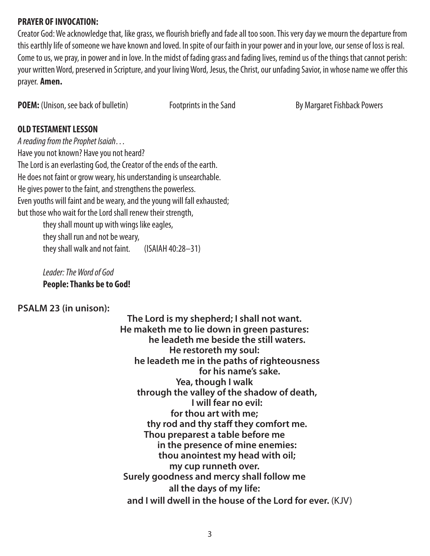# **PRAYER OF INVOCATION:**

Creator God: We acknowledge that, like grass, we flourish briefly and fade all too soon. This very day we mourn the departure from this earthly life of someone we have known and loved. In spite of our faith in your power and in your love, our sense of loss is real. Come to us, we pray, in power and in love. In the midst of fading grass and fading lives, remind us of the things that cannot perish: your written Word, preserved in Scripture, and your living Word, Jesus, the Christ, our unfading Savior, in whose name we offer this prayer. **Amen.**

**POEM:** (Unison, see back of bulletin) Footprints in the Sand By Margaret Fishback Powers

# **OLD TESTAMENT LESSON**

*A reading from the Prophet Isaiah…* Have you not known? Have you not heard? The Lord is an everlasting God, the Creator of the ends of the earth. He does not faint or grow weary, his understanding is unsearchable. He gives power to the faint, and strengthens the powerless. Even youths will faint and be weary, and the young will fall exhausted; but those who wait for the Lord shall renew their strength,

they shall mount up with wings like eagles, they shall run and not be weary, they shall walk and not faint. (ISAIAH 40:28–31)

*Leader: The Word of God* **People: Thanks be to God!**

# **PSALM 23 (in unison):**

**The Lord is my shepherd; I shall not want. He maketh me to lie down in green pastures: he leadeth me beside the still waters. He restoreth my soul: he leadeth me in the paths of righteousness for his name's sake. Yea, though I walk through the valley of the shadow of death, I will fear no evil: for thou art with me; thy rod and thy staff they comfort me. Thou preparest a table before me in the presence of mine enemies: thou anointest my head with oil; my cup runneth over. Surely goodness and mercy shall follow me all the days of my life: and I will dwell in the house of the Lord for ever.** (KJV)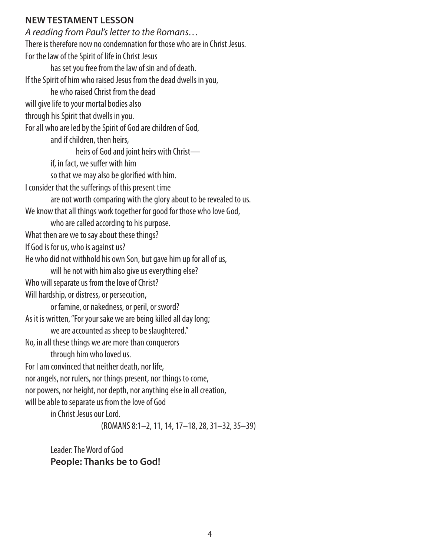# **NEW TESTAMENT LESSON**

*A reading from Paul's letter to the Romans…* There is therefore now no condemnation for those who are in Christ Jesus. For the law of the Spirit of life in Christ Jesus has set you free from the law of sin and of death. If the Spirit of him who raised Jesus from the dead dwells in you, he who raised Christ from the dead will give life to your mortal bodies also through his Spirit that dwells in you. For all who are led by the Spirit of God are children of God, and if children, then heirs, heirs of God and joint heirs with Christ if, in fact, we suffer with him so that we may also be glorified with him. I consider that the sufferings of this present time are not worth comparing with the glory about to be revealed to us. We know that all things work together for good for those who love God, who are called according to his purpose. What then are we to say about these things? If God is for us, who is against us? He who did not withhold his own Son, but gave him up for all of us, will he not with him also give us everything else? Who will separate us from the love of Christ? Will hardship, or distress, or persecution, or famine, or nakedness, or peril, or sword? As it is written, "For your sake we are being killed all day long; we are accounted as sheep to be slaughtered." No, in all these things we are more than conquerors through him who loved us. For I am convinced that neither death, nor life, nor angels, nor rulers, nor things present, nor things to come, nor powers, nor height, nor depth, nor anything else in all creation, will be able to separate us from the love of God in Christ Jesus our Lord.

(ROMANS 8:1–2, 11, 14, 17–18, 28, 31–32, 35–39)

Leader: The Word of God **People: Thanks be to God!**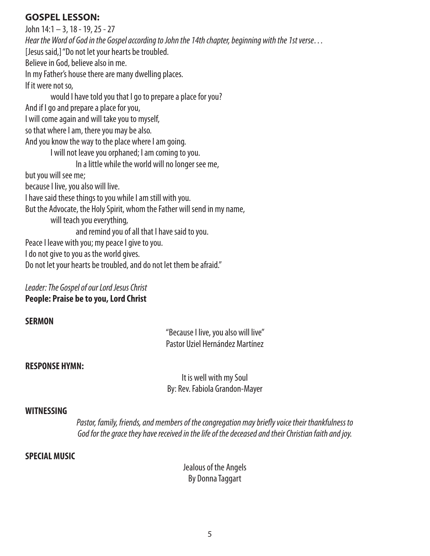# **GOSPEL LESSON:**

John 14:1 – 3, 18 - 19, 25 - 27 *Hear the Word of God in the Gospel according to John the 14th chapter, beginning with the 1st verse…* [Jesus said,] "Do not let your hearts be troubled. Believe in God, believe also in me. In my Father's house there are many dwelling places. If it were not so, would I have told you that I go to prepare a place for you? And if I go and prepare a place for you, I will come again and will take you to myself, so that where I am, there you may be also. And you know the way to the place where I am going. I will not leave you orphaned; I am coming to you. In a little while the world will no longer see me, but you will see me; because I live, you also will live. I have said these things to you while I am still with you. But the Advocate, the Holy Spirit, whom the Father will send in my name, will teach you everything, and remind you of all that I have said to you. Peace I leave with you; my peace I give to you. I do not give to you as the world gives. Do not let your hearts be troubled, and do not let them be afraid."

*Leader: The Gospel of our Lord Jesus Christ* **People: Praise be to you, Lord Christ**

### **SERMON**

"Because I live, you also will live" Pastor Uziel Hernández Martínez

#### **RESPONSE HYMN:**

It is well with my Soul By: Rev. Fabiola Grandon-Mayer

#### **WITNESSING**

*Pastor, family, friends, and members of the congregation may briefly voice their thankfulness to God for the grace they have received in the life of the deceased and their Christian faith and joy.*

#### **SPECIAL MUSIC**

Jealous of the Angels By Donna Taggart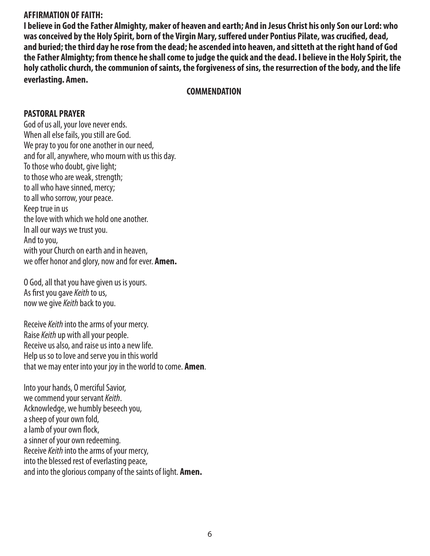### **AFFIRMATION OF FAITH:**

**I believe in God the Father Almighty, maker of heaven and earth; And in Jesus Christ his only Son our Lord: who was conceived by the Holy Spirit, born of the Virgin Mary, suffered under Pontius Pilate, was crucified, dead, and buried; the third day he rose from the dead; he ascended into heaven, and sitteth at the right hand of God the Father Almighty; from thence he shall come to judge the quick and the dead. I believe in the Holy Spirit, the holy catholic church, the communion of saints, the forgiveness of sins, the resurrection of the body, and the life everlasting. Amen.**

#### **COMMENDATION**

### **PASTORAL PRAYER**

God of us all, your love never ends. When all else fails, you still are God. We pray to you for one another in our need, and for all, anywhere, who mourn with us this day. To those who doubt, give light; to those who are weak, strength; to all who have sinned, mercy; to all who sorrow, your peace. Keep true in us the love with which we hold one another. In all our ways we trust you. And to you, with your Church on earth and in heaven, we offer honor and glory, now and for ever. **Amen.**

O God, all that you have given us is yours. As first you gave *Keith* to us, now we give *Keith* back to you.

Receive *Keith* into the arms of your mercy. Raise *Keith* up with all your people. Receive us also, and raise us into a new life. Help us so to love and serve you in this world that we may enter into your joy in the world to come. **Amen**.

Into your hands, O merciful Savior, we commend your servant *Keith*. Acknowledge, we humbly beseech you, a sheep of your own fold, a lamb of your own flock, a sinner of your own redeeming. Receive *Keith* into the arms of your mercy, into the blessed rest of everlasting peace, and into the glorious company of the saints of light. **Amen.**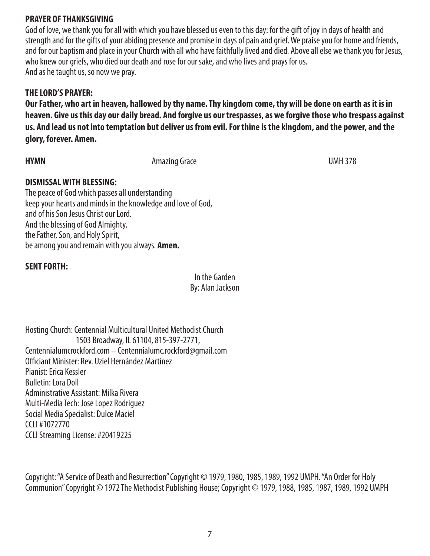# **PRAYER OF THANKSGIVING**

God of love, we thank you for all with which you have blessed us even to this day: for the gift of joy in days of health and strength and for the gifts of your abiding presence and promise in days of pain and grief. We praise you for home and friends, and for our baptism and place in your Church with all who have faithfully lived and died. Above all else we thank you for Jesus, who knew our griefs, who died our death and rose for our sake, and who lives and prays for us. And as he taught us, so now we pray.

# **THE LORD'S PRAYER:**

**Our Father, who art in heaven, hallowed by thy name. Thy kingdom come, thy will be done on earth as it is in heaven. Give us this day our daily bread. And forgive us our trespasses, as we forgive those who trespass against us. And lead us not into temptation but deliver us from evil. For thine is the kingdom, and the power, and the glory, forever. Amen.**

**HYMN** UMH 378

# **DISMISSAL WITH BLESSING:**

The peace of God which passes all understanding keep your hearts and minds in the knowledge and love of God, and of his Son Jesus Christ our Lord. And the blessing of God Almighty, the Father, Son, and Holy Spirit, be among you and remain with you always. **Amen.**

# **SENT FORTH:**

In the Garden By: Alan Jackson

Hosting Church: Centennial Multicultural United Methodist Church 1503 Broadway, IL 61104, 815-397-2771, Centennialumcrockford.com – Centennialumc.rockford@gmail.com Officiant Minister: Rev. Uziel Hernández Martínez Pianist: Erica Kessler Bulletin: Lora Doll Administrative Assistant: Milka Rivera Multi-Media Tech: Jose Lopez Rodriguez Social Media Specialist: Dulce Maciel CCLI #1072770 CCLI Streaming License: #20419225

Copyright: "A Service of Death and Resurrection" Copyright © 1979, 1980, 1985, 1989, 1992 UMPH. "An Order for Holy Communion" Copyright © 1972 The Methodist Publishing House; Copyright © 1979, 1988, 1985, 1987, 1989, 1992 UMPH